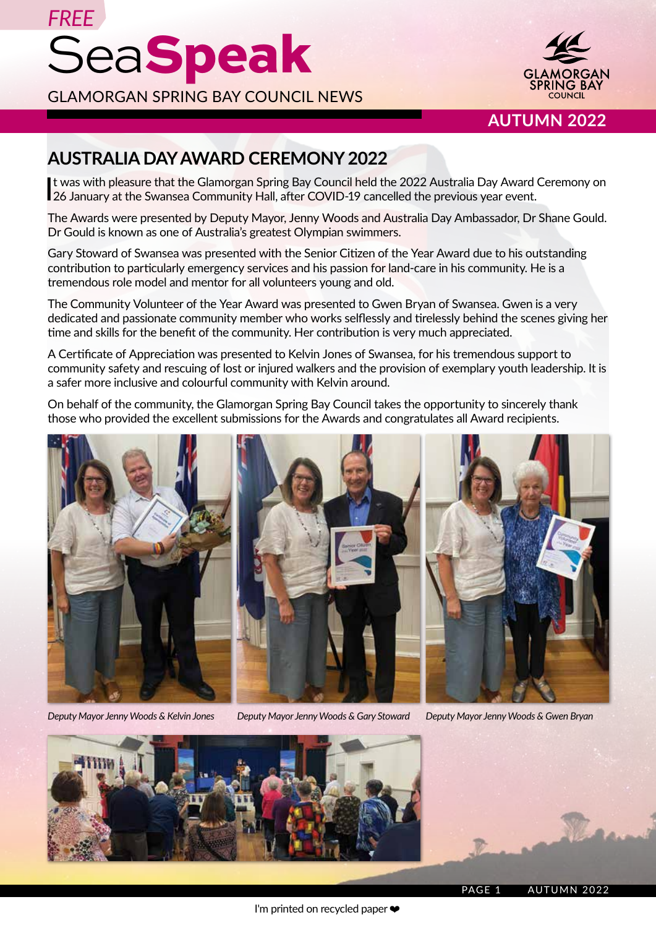

**AUTUMN 2022**

# **AUSTRALIA DAY AWARD CEREMONY 2022**

It was with pleasure that the Glamorgan Spring Bay Council held the 2022 Australia Day Award<br>26 January at the Swansea Community Hall, after COVID-19 cancelled the previous year event. t was with pleasure that the Glamorgan Spring Bay Council held the 2022 Australia Day Award Ceremony on

The Awards were presented by Deputy Mayor, Jenny Woods and Australia Day Ambassador, Dr Shane Gould. Dr Gould is known as one of Australia's greatest Olympian swimmers.

Gary Stoward of Swansea was presented with the Senior Citizen of the Year Award due to his outstanding contribution to particularly emergency services and his passion for land-care in his community. He is a tremendous role model and mentor for all volunteers young and old.

The Community Volunteer of the Year Award was presented to Gwen Bryan of Swansea. Gwen is a very dedicated and passionate community member who works selflessly and tirelessly behind the scenes giving her time and skills for the benefit of the community. Her contribution is very much appreciated.

A Certificate of Appreciation was presented to Kelvin Jones of Swansea, for his tremendous support to community safety and rescuing of lost or injured walkers and the provision of exemplary youth leadership. It is a safer more inclusive and colourful community with Kelvin around.

On behalf of the community, the Glamorgan Spring Bay Council takes the opportunity to sincerely thank those who provided the excellent submissions for the Awards and congratulates all Award recipients.



*Deputy Mayor Jenny Woods & Kelvin Jones Deputy Mayor Jenny Woods & Gary Stoward Deputy Mayor Jenny Woods & Gwen Bryan*

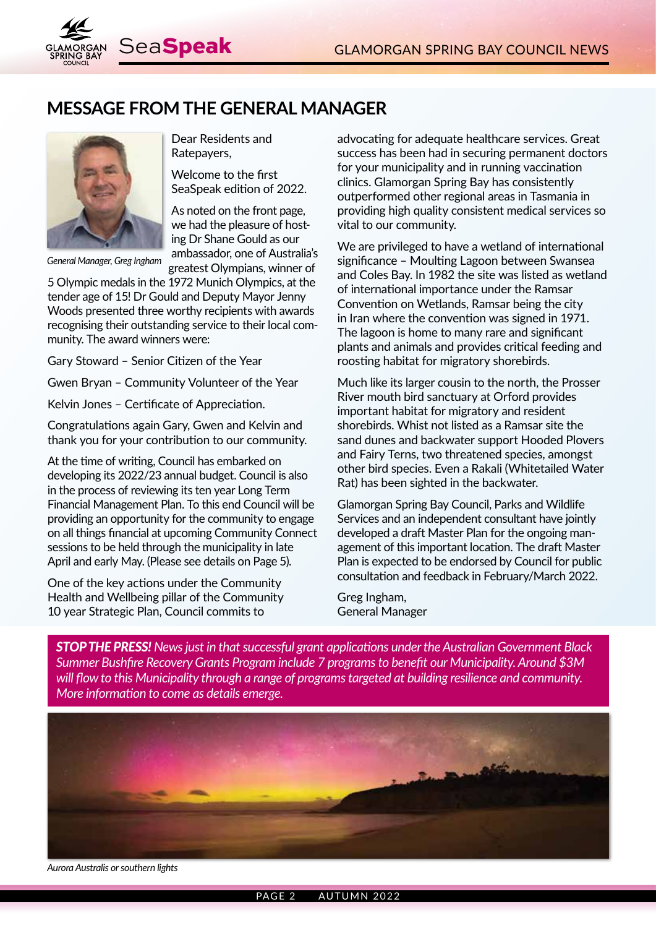

## **MESSAGE FROM THE GENERAL MANAGER**



*General Manager, Greg Ingham*

Dear Residents and Ratepayers,

Welcome to the first SeaSpeak edition of 2022.

As noted on the front page, we had the pleasure of hosting Dr Shane Gould as our ambassador, one of Australia's greatest Olympians, winner of

5 Olympic medals in the 1972 Munich Olympics, at the tender age of 15! Dr Gould and Deputy Mayor Jenny Woods presented three worthy recipients with awards recognising their outstanding service to their local community. The award winners were:

Gary Stoward – Senior Citizen of the Year

Gwen Bryan – Community Volunteer of the Year

Kelvin Jones – Certificate of Appreciation.

Congratulations again Gary, Gwen and Kelvin and thank you for your contribution to our community.

At the time of writing, Council has embarked on developing its 2022/23 annual budget. Council is also in the process of reviewing its ten year Long Term Financial Management Plan. To this end Council will be providing an opportunity for the community to engage on all things financial at upcoming Community Connect sessions to be held through the municipality in late April and early May. (Please see details on Page 5).

One of the key actions under the Community Health and Wellbeing pillar of the Community 10 year Strategic Plan, Council commits to

advocating for adequate healthcare services. Great success has been had in securing permanent doctors for your municipality and in running vaccination clinics. Glamorgan Spring Bay has consistently outperformed other regional areas in Tasmania in providing high quality consistent medical services so vital to our community.

We are privileged to have a wetland of international significance – Moulting Lagoon between Swansea and Coles Bay. In 1982 the site was listed as wetland of international importance under the Ramsar Convention on Wetlands, Ramsar being the city in Iran where the convention was signed in 1971. The lagoon is home to many rare and significant plants and animals and provides critical feeding and roosting habitat for migratory shorebirds.

Much like its larger cousin to the north, the Prosser River mouth bird sanctuary at Orford provides important habitat for migratory and resident shorebirds. Whist not listed as a Ramsar site the sand dunes and backwater support Hooded Plovers and Fairy Terns, two threatened species, amongst other bird species. Even a Rakali (Whitetailed Water Rat) has been sighted in the backwater.

Glamorgan Spring Bay Council, Parks and Wildlife Services and an independent consultant have jointly developed a draft Master Plan for the ongoing management of this important location. The draft Master Plan is expected to be endorsed by Council for public consultation and feedback in February/March 2022.

Greg Ingham, General Manager

*STOP THE PRESS! News just in that successful grant applications under the Australian Government Black Summer Bushfire Recovery Grants Program include 7 programs to benefit our Municipality. Around \$3M will flow to this Municipality through a range of programs targeted at building resilience and community. More information to come as details emerge.*



*Aurora Australis or southern lights*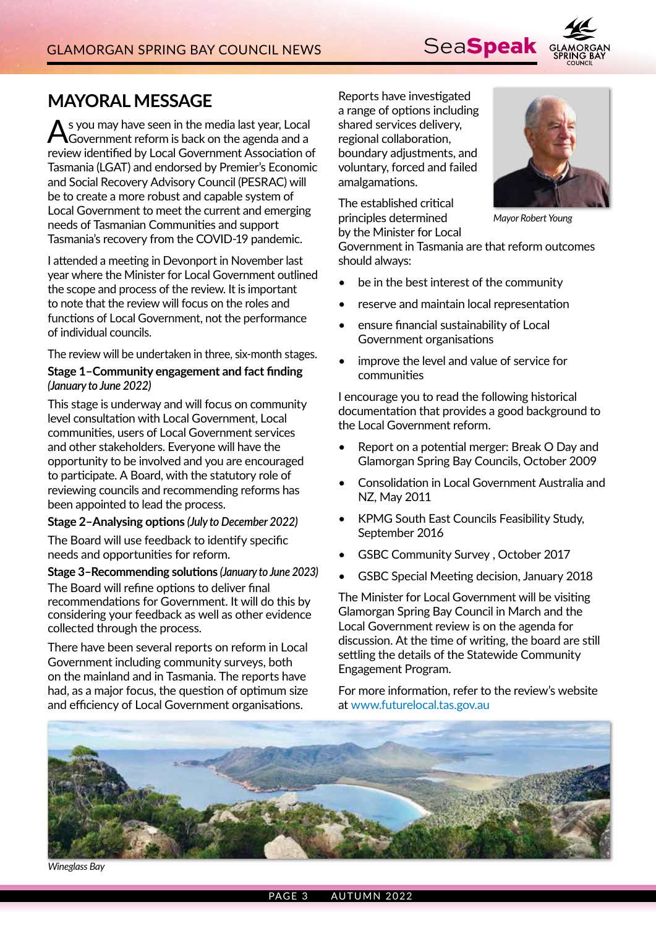

## **MAYORAL MESSAGE**

As you may have seen in the media last year, Local Government reform is back on the agenda and a review identified by Local Government Association of Tasmania (LGAT) and endorsed by Premier's Economic and Social Recovery Advisory Council (PESRAC) will be to create a more robust and capable system of Local Government to meet the current and emerging needs of Tasmanian Communities and support Tasmania's recovery from the COVID-19 pandemic.

I attended a meeting in Devonport in November last year where the Minister for Local Government outlined the scope and process of the review. It is important to note that the review will focus on the roles and functions of Local Government, not the performance of individual councils.

The review will be undertaken in three, six-month stages.

#### **Stage 1–Community engagement and fact finding**  *(January to June 2022)*

This stage is underway and will focus on community level consultation with Local Government, Local communities, users of Local Government services and other stakeholders. Everyone will have the opportunity to be involved and you are encouraged to participate. A Board, with the statutory role of reviewing councils and recommending reforms has been appointed to lead the process.

#### **Stage 2–Analysing options** *(July to December 2022)*

The Board will use feedback to identify specific needs and opportunities for reform.

#### **Stage 3–Recommending solutions** *(January to June 2023)*

The Board will refine options to deliver final recommendations for Government. It will do this by considering your feedback as well as other evidence collected through the process.

There have been several reports on reform in Local Government including community surveys, both on the mainland and in Tasmania. The reports have had, as a major focus, the question of optimum size and efficiency of Local Government organisations.

Reports have investigated a range of options including shared services delivery, regional collaboration, boundary adjustments, and voluntary, forced and failed amalgamations.

The established critical principles determined by the Minister for Local



*Mayor Robert Young*

Government in Tasmania are that reform outcomes should always:

- be in the best interest of the community
- reserve and maintain local representation
- ensure financial sustainability of Local Government organisations
- improve the level and value of service for communities

I encourage you to read the following historical documentation that provides a good background to the Local Government reform.

- Report on a potential merger: Break O Day and Glamorgan Spring Bay Councils, October 2009
- Consolidation in Local Government Australia and NZ, May 2011
- KPMG South East Councils Feasibility Study, September 2016
- GSBC Community Survey , October 2017
- GSBC Special Meeting decision, January 2018

The Minister for Local Government will be visiting Glamorgan Spring Bay Council in March and the Local Government review is on the agenda for discussion. At the time of writing, the board are still settling the details of the Statewide Community Engagement Program.

For more information, refer to the review's website at www.futurelocal.tas.gov.au



*Wineglass Bay*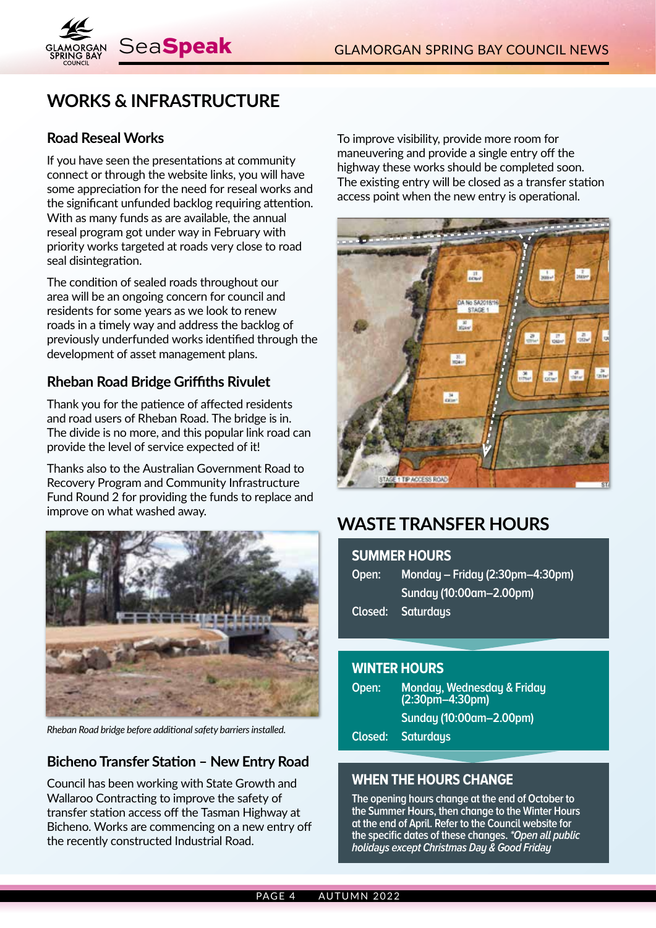

# **WORKS & INFRASTRUCTURE**

### **Road Reseal Works**

If you have seen the presentations at community connect or through the website links, you will have some appreciation for the need for reseal works and the significant unfunded backlog requiring attention. With as many funds as are available, the annual reseal program got under way in February with priority works targeted at roads very close to road seal disintegration.

The condition of sealed roads throughout our area will be an ongoing concern for council and residents for some years as we look to renew roads in a timely way and address the backlog of previously underfunded works identified through the development of asset management plans.

### **Rheban Road Bridge Griffiths Rivulet**

Thank you for the patience of affected residents and road users of Rheban Road. The bridge is in. The divide is no more, and this popular link road can provide the level of service expected of it!

Thanks also to the Australian Government Road to Recovery Program and Community Infrastructure Fund Round 2 for providing the funds to replace and improve on what washed away.



*Rheban Road bridge before additional safety barriers installed.*

### **Bicheno Transfer Station – New Entry Road**

Council has been working with State Growth and Wallaroo Contracting to improve the safety of transfer station access off the Tasman Highway at Bicheno. Works are commencing on a new entry off the recently constructed Industrial Road.

To improve visibility, provide more room for maneuvering and provide a single entry off the highway these works should be completed soon. The existing entry will be closed as a transfer station access point when the new entry is operational.



# **WASTE TRANSFER HOURS**

#### **SUMMER HOURS**

| Monday - Friday (2:30pm-4:30pm) |
|---------------------------------|
| Sunday (10:00am-2.00pm)         |
| Closed: Saturdays               |
|                                 |

#### **WINTER HOURS**

| Open:   | Monday, Wednesday & Friday<br>$(2:30pm - 4:30pm)$ |
|---------|---------------------------------------------------|
|         | Sunday (10:00am-2.00pm)                           |
| Closed: | <b>Saturdays</b>                                  |

### **WHEN THE HOURS CHANGE**

**The opening hours change at the end of October to the Summer Hours, then change to the Winter Hours at the end of April. Refer to the Council website for the specific dates of these changes. \*Open all public holidays except Christmas Day & Good Friday**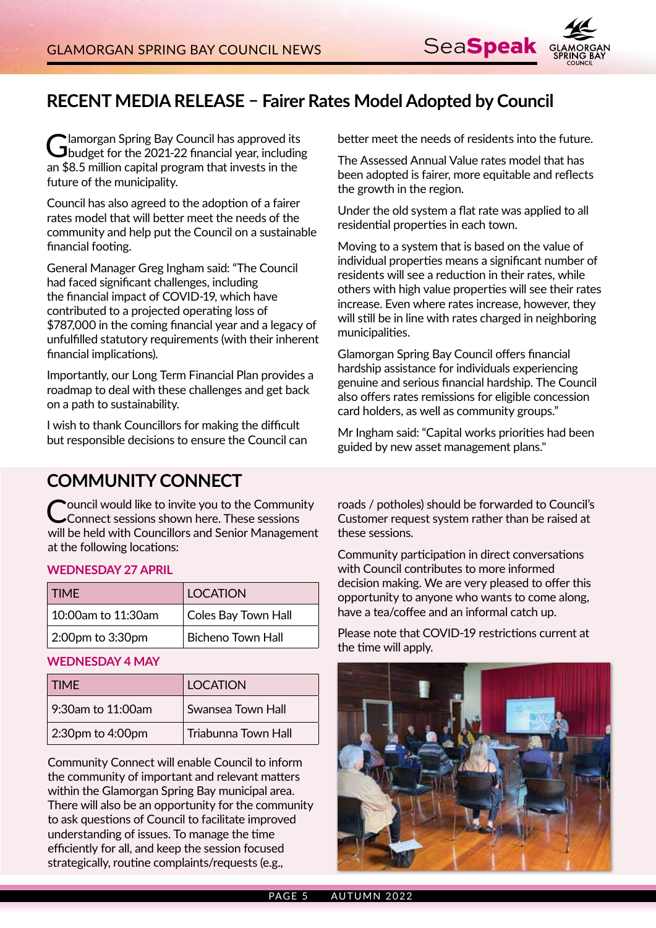

# **RECENT MEDIA RELEASE – Fairer Rates Model Adopted by Council**

Glamorgan Spring Bay Council has approved its budget for the 2021-22 financial year, including an \$8.5 million capital program that invests in the future of the municipality.

Council has also agreed to the adoption of a fairer rates model that will better meet the needs of the community and help put the Council on a sustainable financial footing.

General Manager Greg Ingham said: "The Council had faced significant challenges, including the financial impact of COVID-19, which have contributed to a projected operating loss of \$787,000 in the coming financial year and a legacy of unfulfilled statutory requirements (with their inherent financial implications).

Importantly, our Long Term Financial Plan provides a roadmap to deal with these challenges and get back on a path to sustainability.

I wish to thank Councillors for making the difficult but responsible decisions to ensure the Council can better meet the needs of residents into the future.

The Assessed Annual Value rates model that has been adopted is fairer, more equitable and reflects the growth in the region.

Under the old system a flat rate was applied to all residential properties in each town.

Moving to a system that is based on the value of individual properties means a significant number of residents will see a reduction in their rates, while others with high value properties will see their rates increase. Even where rates increase, however, they will still be in line with rates charged in neighboring municipalities.

Glamorgan Spring Bay Council offers financial hardship assistance for individuals experiencing genuine and serious financial hardship. The Council also offers rates remissions for eligible concession card holders, as well as community groups."

Mr Ingham said: "Capital works priorities had been guided by new asset management plans."

## **COMMUNITY CONNECT**

Council would like to invite you to the Community Connect sessions shown here. These sessions will be held with Councillors and Senior Management at the following locations:

#### **WEDNESDAY 27 APRIL**

| <b>TIME</b>        | <b>LOCATION</b>          |
|--------------------|--------------------------|
| 10:00am to 11:30am | Coles Bay Town Hall      |
| 2:00pm to 3:30pm   | <b>Bicheno Town Hall</b> |

#### **WEDNESDAY 4 MAY**

| <b>TIME</b>       | LOCATION            |
|-------------------|---------------------|
| 9:30am to 11:00am | Swansea Town Hall   |
| 2:30pm to 4:00pm  | Triabunna Town Hall |

Community Connect will enable Council to inform the community of important and relevant matters within the Glamorgan Spring Bay municipal area. There will also be an opportunity for the community to ask questions of Council to facilitate improved understanding of issues. To manage the time efficiently for all, and keep the session focused strategically, routine complaints/requests (e.g.,

roads / potholes) should be forwarded to Council's Customer request system rather than be raised at these sessions.

Community participation in direct conversations with Council contributes to more informed decision making. We are very pleased to offer this opportunity to anyone who wants to come along, have a tea/coffee and an informal catch up.

Please note that COVID-19 restrictions current at the time will apply.

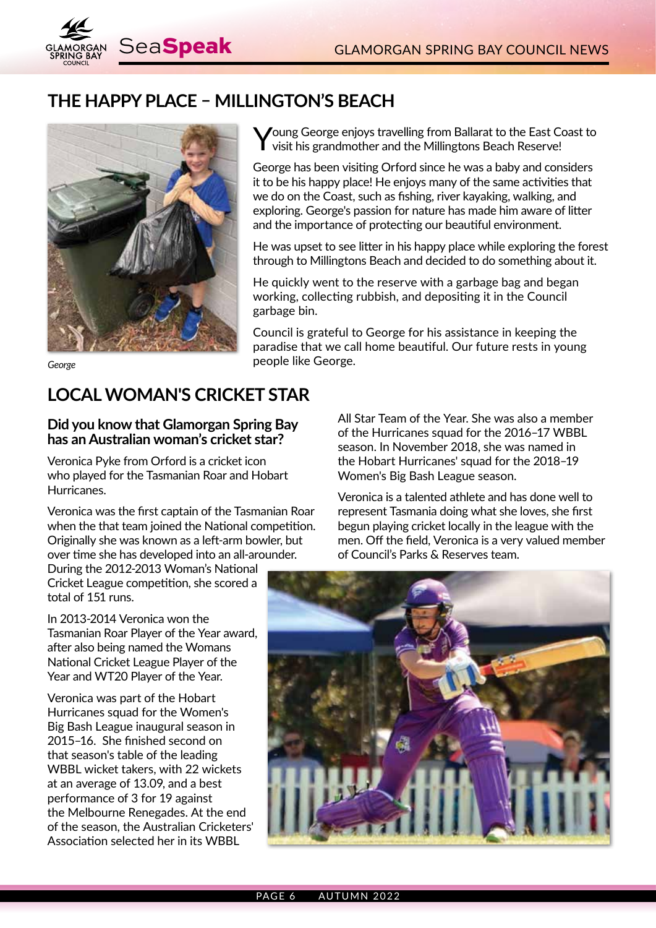

## **THE HAPPY PLACE – MILLINGTON'S BEACH**



Young George enjoys travelling from Ballarat to the East Coast to visit his grandmother and the Millingtons Beach Reserve!

George has been visiting Orford since he was a baby and considers it to be his happy place! He enjoys many of the same activities that we do on the Coast, such as fishing, river kayaking, walking, and exploring. George's passion for nature has made him aware of litter and the importance of protecting our beautiful environment.

He was upset to see litter in his happy place while exploring the forest through to Millingtons Beach and decided to do something about it.

He quickly went to the reserve with a garbage bag and began working, collecting rubbish, and depositing it in the Council garbage bin.

Council is grateful to George for his assistance in keeping the paradise that we call home beautiful. Our future rests in young **George people like George.** 

# **LOCAL WOMAN'S CRICKET STAR**

#### **Did you know that Glamorgan Spring Bay has an Australian woman's cricket star?**

Veronica Pyke from Orford is a cricket icon who played for the Tasmanian Roar and Hobart Hurricanes.

Veronica was the first captain of the Tasmanian Roar when the that team joined the National competition. Originally she was known as a left-arm bowler, but over time she has developed into an all-arounder.

During the 2012-2013 Woman's National Cricket League competition, she scored a total of 151 runs.

In 2013-2014 Veronica won the Tasmanian Roar Player of the Year award, after also being named the Womans National Cricket League Player of the Year and WT20 Player of the Year.

Veronica was part of the Hobart Hurricanes squad for the Women's Big Bash League inaugural season in 2015–16. She finished second on that season's table of the leading WBBL wicket takers, with 22 wickets at an average of 13.09, and a best performance of 3 for 19 against the Melbourne Renegades. At the end of the season, the Australian Cricketers' Association selected her in its WBBL

All Star Team of the Year. She was also a member of the Hurricanes squad for the 2016–17 WBBL season. In November 2018, she was named in the Hobart Hurricanes' squad for the 2018–19 Women's Big Bash League season.

Veronica is a talented athlete and has done well to represent Tasmania doing what she loves, she first begun playing cricket locally in the league with the men. Off the field, Veronica is a very valued member of Council's Parks & Reserves team.

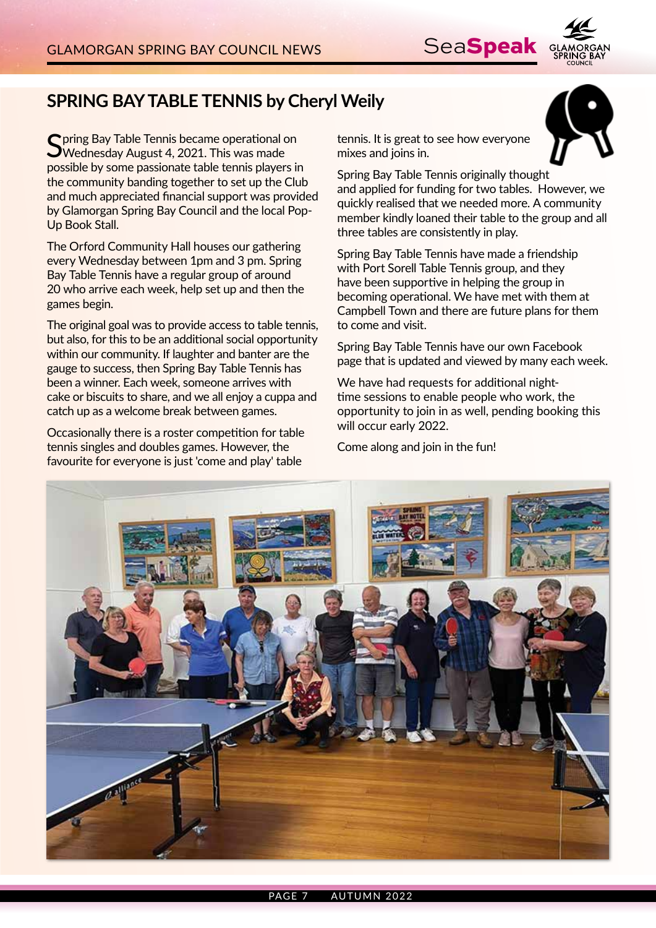

# **SPRING BAY TABLE TENNIS by Cheryl Weily**

Spring Bay Table Tennis became operational on<br>SWednesday August 4, 2021. This was made possible by some passionate table tennis players in the community banding together to set up the Club and much appreciated financial support was provided by Glamorgan Spring Bay Council and the local Pop-Up Book Stall.

The Orford Community Hall houses our gathering every Wednesday between 1pm and 3 pm. Spring Bay Table Tennis have a regular group of around 20 who arrive each week, help set up and then the games begin.

The original goal was to provide access to table tennis, but also, for this to be an additional social opportunity within our community. If laughter and banter are the gauge to success, then Spring Bay Table Tennis has been a winner. Each week, someone arrives with cake or biscuits to share, and we all enjoy a cuppa and catch up as a welcome break between games.

Occasionally there is a roster competition for table tennis singles and doubles games. However, the favourite for everyone is just 'come and play' table

tennis. It is great to see how everyone mixes and joins in.



Spring Bay Table Tennis originally thought and applied for funding for two tables. However, we quickly realised that we needed more. A community member kindly loaned their table to the group and all three tables are consistently in play.

Spring Bay Table Tennis have made a friendship with Port Sorell Table Tennis group, and they have been supportive in helping the group in becoming operational. We have met with them at Campbell Town and there are future plans for them to come and visit.

Spring Bay Table Tennis have our own Facebook page that is updated and viewed by many each week.

We have had requests for additional nighttime sessions to enable people who work, the opportunity to join in as well, pending booking this will occur early 2022.

Come along and join in the fun!